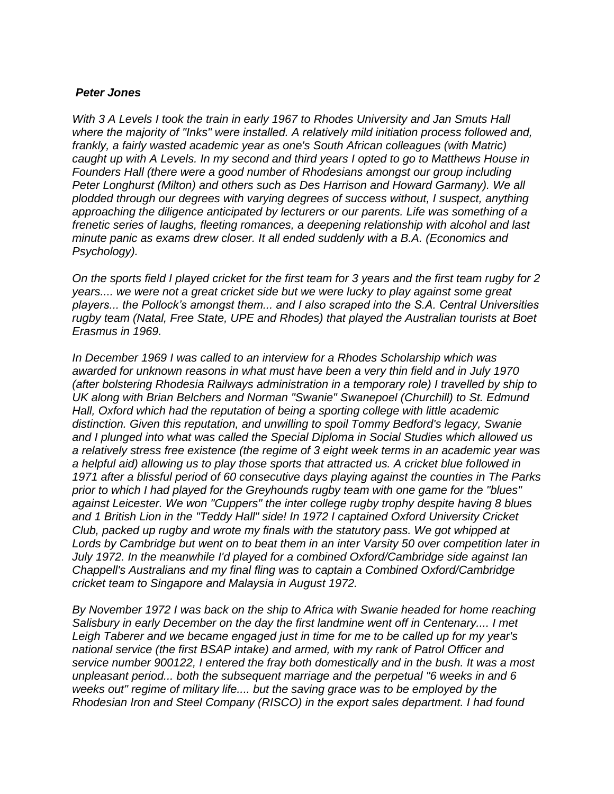## *Peter Jones*

*With 3 A Levels I took the train in early 1967 to Rhodes University and Jan Smuts Hall where the majority of "Inks" were installed. A relatively mild initiation process followed and, frankly, a fairly wasted academic year as one's South African colleagues (with Matric) caught up with A Levels. In my second and third years I opted to go to Matthews House in Founders Hall (there were a good number of Rhodesians amongst our group including Peter Longhurst (Milton) and others such as Des Harrison and Howard Garmany). We all plodded through our degrees with varying degrees of success without, I suspect, anything approaching the diligence anticipated by lecturers or our parents. Life was something of a frenetic series of laughs, fleeting romances, a deepening relationship with alcohol and last minute panic as exams drew closer. It all ended suddenly with a B.A. (Economics and Psychology).* 

*On the sports field I played cricket for the first team for 3 years and the first team rugby for 2 years.... we were not a great cricket side but we were lucky to play against some great players... the Pollock's amongst them... and I also scraped into the S.A. Central Universities rugby team (Natal, Free State, UPE and Rhodes) that played the Australian tourists at Boet Erasmus in 1969.* 

*In December 1969 I was called to an interview for a Rhodes Scholarship which was awarded for unknown reasons in what must have been a very thin field and in July 1970 (after bolstering Rhodesia Railways administration in a temporary role) I travelled by ship to UK along with Brian Belchers and Norman "Swanie" Swanepoel (Churchill) to St. Edmund Hall, Oxford which had the reputation of being a sporting college with little academic distinction. Given this reputation, and unwilling to spoil Tommy Bedford's legacy, Swanie and I plunged into what was called the Special Diploma in Social Studies which allowed us a relatively stress free existence (the regime of 3 eight week terms in an academic year was a helpful aid) allowing us to play those sports that attracted us. A cricket blue followed in 1971 after a blissful period of 60 consecutive days playing against the counties in The Parks prior to which I had played for the Greyhounds rugby team with one game for the "blues" against Leicester. We won "Cuppers" the inter college rugby trophy despite having 8 blues and 1 British Lion in the "Teddy Hall" side! In 1972 I captained Oxford University Cricket Club, packed up rugby and wrote my finals with the statutory pass. We got whipped at Lords by Cambridge but went on to beat them in an inter Varsity 50 over competition later in July 1972. In the meanwhile I'd played for a combined Oxford/Cambridge side against Ian Chappell's Australians and my final fling was to captain a Combined Oxford/Cambridge cricket team to Singapore and Malaysia in August 1972.* 

*By November 1972 I was back on the ship to Africa with Swanie headed for home reaching Salisbury in early December on the day the first landmine went off in Centenary.... I met Leigh Taberer and we became engaged just in time for me to be called up for my year's national service (the first BSAP intake) and armed, with my rank of Patrol Officer and service number 900122, I entered the fray both domestically and in the bush. It was a most unpleasant period... both the subsequent marriage and the perpetual "6 weeks in and 6 weeks out" regime of military life.... but the saving grace was to be employed by the Rhodesian Iron and Steel Company (RISCO) in the export sales department. I had found*